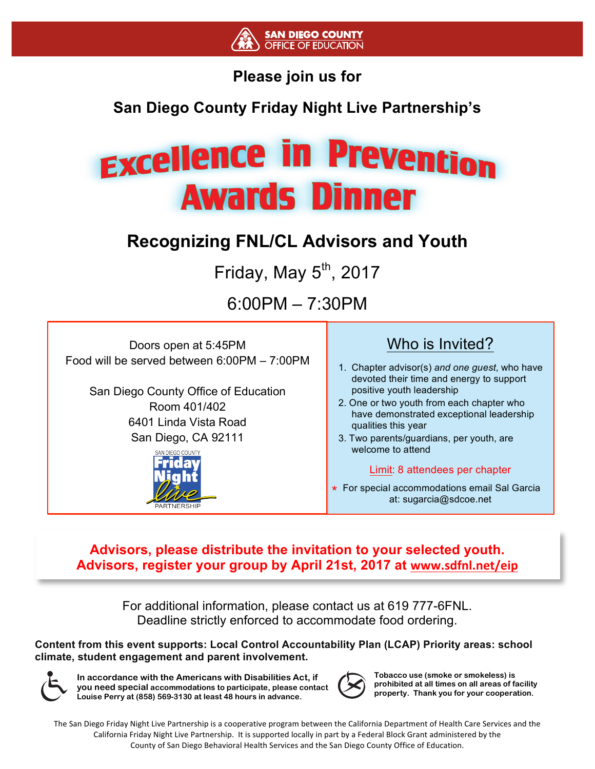

#### **Please join us for**

#### **San Diego County Friday Night Live Partnership's**

# **Excellence in Prevention Awards Dinner**

### **Recognizing FNL/CL Advisors and Youth**

Friday, May  $5<sup>th</sup>$ , 2017

6:00PM – 7:30PM

Doors open at 5:45PM Food will be served between 6:00PM – 7:00PM

> San Diego County Office of Education Room 401/402 6401 Linda Vista Road San Diego, CA 92111



#### Who is Invited?

- 1. Chapter advisor(s) *and one guest*, who have devoted their time and energy to support positive youth leadership
- 2. One or two youth from each chapter who have demonstrated exceptional leadership qualities this year
- 3. Two parents/guardians, per youth, are welcome to attend

#### Limit: 8 attendees per chapter

For special accommodations email Sal Garcia **\***at: sugarcia@sdcoe.net

**Advisors, please distribute the invitation to your selected youth. Advisors, register your group by April 21st, 2017 at www.sdfnl.net/eip**

> For additional information, please contact us at 619 777-6FNL. Deadline strictly enforced to accommodate food ordering.

**Content from this event supports: Local Control Accountability Plan (LCAP) Priority areas: school climate, student engagement and parent involvement.** 



**In accordance with the Americans with Disabilities Act, if you need special accommodations to participate, please contact Louise Perry at (858) 569-3130 at least 48 hours in advance.**



**Tobacco use (smoke or smokeless) is prohibited at all times on all areas of facility property. Thank you for your cooperation.**

The San Diego Friday Night Live Partnership is a cooperative program between the California Department of Health Care Services and the California Friday Night Live Partnership. It is supported locally in part by a Federal Block Grant administered by the County of San Diego Behavioral Health Services and the San Diego County Office of Education.